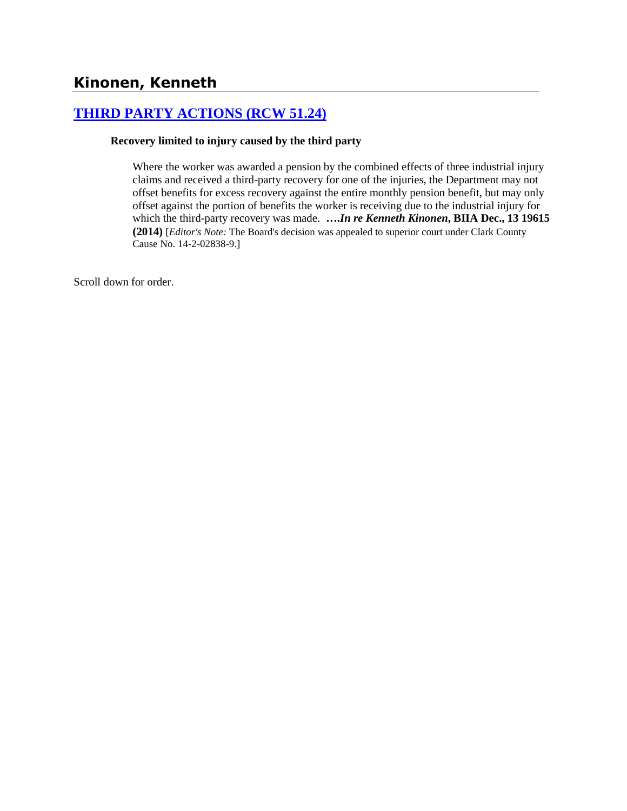# **[THIRD PARTY ACTIONS \(RCW 51.24\)](http://www.biia.wa.gov/SDSubjectIndex.html#THIRD_PARTY_ACTIONS)**

#### **Recovery limited to injury caused by the third party**

Where the worker was awarded a pension by the combined effects of three industrial injury claims and received a third-party recovery for one of the injuries, the Department may not offset benefits for excess recovery against the entire monthly pension benefit, but may only offset against the portion of benefits the worker is receiving due to the industrial injury for which the third-party recovery was made. **….***In re Kenneth Kinonen***, BIIA Dec., 13 19615 (2014)** [*Editor's Note:* The Board's decision was appealed to superior court under Clark County Cause No. 14-2-02838-9.]

Scroll down for order.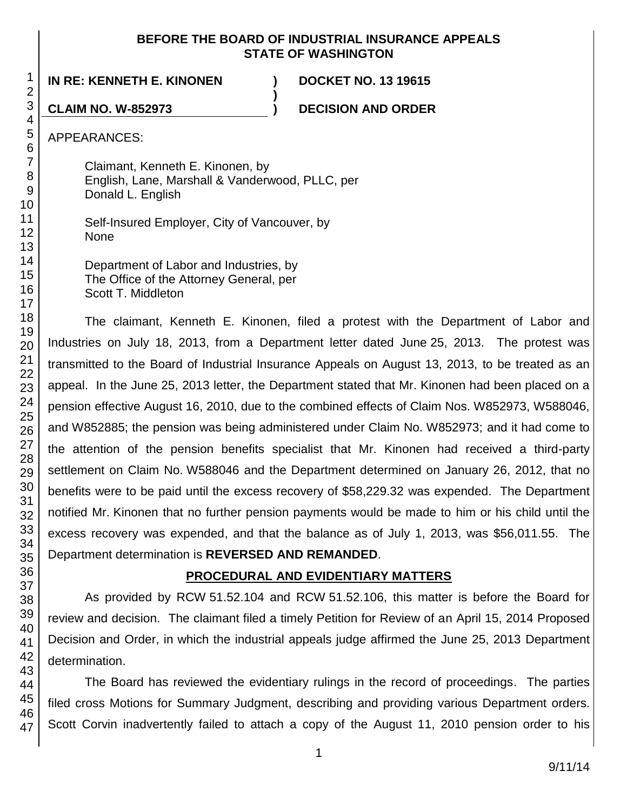## **BEFORE THE BOARD OF INDUSTRIAL INSURANCE APPEALS STATE OF WASHINGTON**

**)**

**IN RE: KENNETH E. KINONEN ) DOCKET NO. 13 19615**

**CLAIM NO. W-852973 ) DECISION AND ORDER**

APPEARANCES:

Claimant, Kenneth E. Kinonen, by English, Lane, Marshall & Vanderwood, PLLC, per Donald L. English

Self-Insured Employer, City of Vancouver, by None

Department of Labor and Industries, by The Office of the Attorney General, per Scott T. Middleton

The claimant, Kenneth E. Kinonen, filed a protest with the Department of Labor and Industries on July 18, 2013, from a Department letter dated June 25, 2013. The protest was transmitted to the Board of Industrial Insurance Appeals on August 13, 2013, to be treated as an appeal. In the June 25, 2013 letter, the Department stated that Mr. Kinonen had been placed on a pension effective August 16, 2010, due to the combined effects of Claim Nos. W852973, W588046, and W852885; the pension was being administered under Claim No. W852973; and it had come to the attention of the pension benefits specialist that Mr. Kinonen had received a third-party settlement on Claim No. W588046 and the Department determined on January 26, 2012, that no benefits were to be paid until the excess recovery of \$58,229.32 was expended. The Department notified Mr. Kinonen that no further pension payments would be made to him or his child until the excess recovery was expended, and that the balance as of July 1, 2013, was \$56,011.55. The Department determination is **REVERSED AND REMANDED**.

# **PROCEDURAL AND EVIDENTIARY MATTERS**

As provided by RCW 51.52.104 and RCW 51.52.106, this matter is before the Board for review and decision. The claimant filed a timely Petition for Review of an April 15, 2014 Proposed Decision and Order, in which the industrial appeals judge affirmed the June 25, 2013 Department determination.

The Board has reviewed the evidentiary rulings in the record of proceedings. The parties filed cross Motions for Summary Judgment, describing and providing various Department orders. Scott Corvin inadvertently failed to attach a copy of the August 11, 2010 pension order to his

47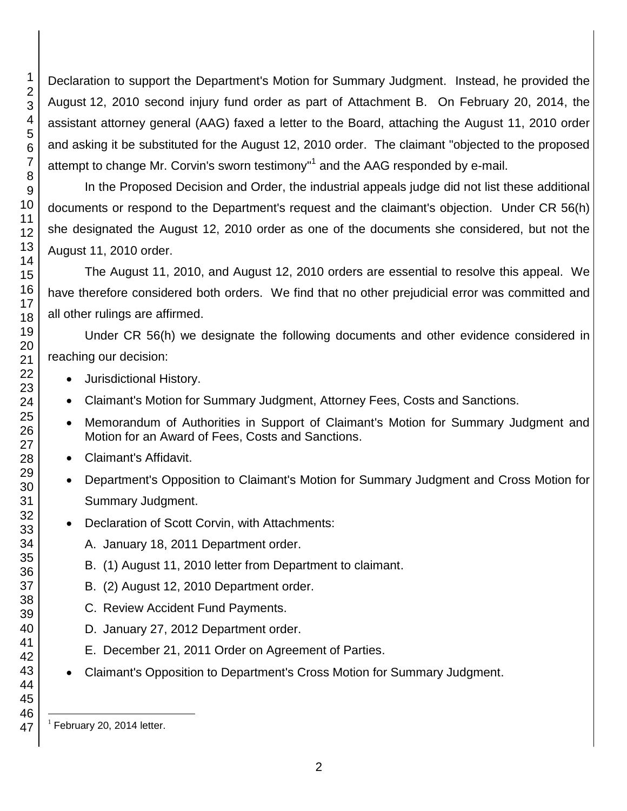Declaration to support the Department's Motion for Summary Judgment. Instead, he provided the August 12, 2010 second injury fund order as part of Attachment B. On February 20, 2014, the assistant attorney general (AAG) faxed a letter to the Board, attaching the August 11, 2010 order and asking it be substituted for the August 12, 2010 order. The claimant "objected to the proposed attempt to change Mr. Corvin's sworn testimony"<sup>1</sup> and the AAG responded by e-mail.

In the Proposed Decision and Order, the industrial appeals judge did not list these additional documents or respond to the Department's request and the claimant's objection. Under CR 56(h) she designated the August 12, 2010 order as one of the documents she considered, but not the August 11, 2010 order.

The August 11, 2010, and August 12, 2010 orders are essential to resolve this appeal. We have therefore considered both orders. We find that no other prejudicial error was committed and all other rulings are affirmed.

Under CR 56(h) we designate the following documents and other evidence considered in reaching our decision:

- Jurisdictional History.
- Claimant's Motion for Summary Judgment, Attorney Fees, Costs and Sanctions.
- Memorandum of Authorities in Support of Claimant's Motion for Summary Judgment and Motion for an Award of Fees, Costs and Sanctions.
- Claimant's Affidavit.
- Department's Opposition to Claimant's Motion for Summary Judgment and Cross Motion for Summary Judgment.
- Declaration of Scott Corvin, with Attachments:
	- A. January 18, 2011 Department order.
	- B. (1) August 11, 2010 letter from Department to claimant.
	- B. (2) August 12, 2010 Department order.
	- C. Review Accident Fund Payments.
	- D. January 27, 2012 Department order.
	- E. December 21, 2011 Order on Agreement of Parties.
- Claimant's Opposition to Department's Cross Motion for Summary Judgment.

l

 $<sup>1</sup>$  February 20, 2014 letter.</sup>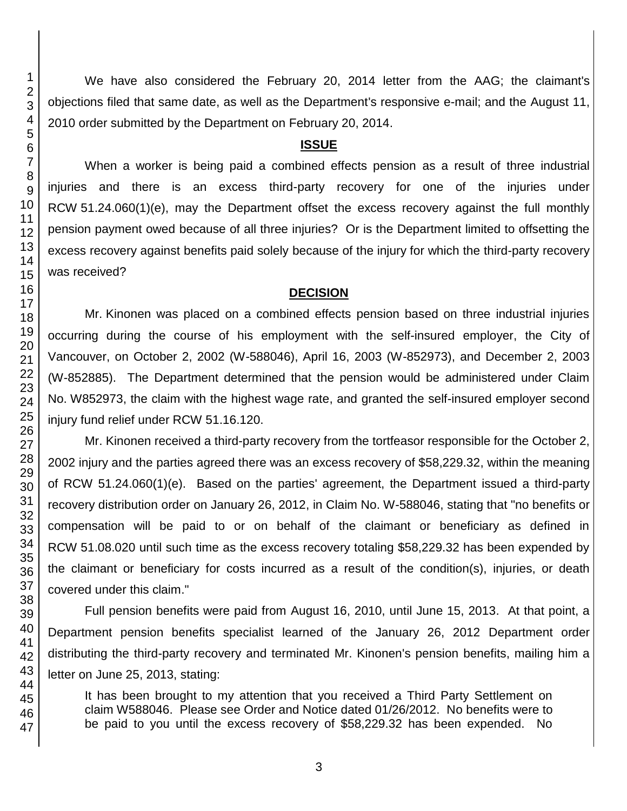We have also considered the February 20, 2014 letter from the AAG; the claimant's objections filed that same date, as well as the Department's responsive e-mail; and the August 11, 2010 order submitted by the Department on February 20, 2014.

#### **ISSUE**

When a worker is being paid a combined effects pension as a result of three industrial injuries and there is an excess third-party recovery for one of the injuries under RCW 51.24.060(1)(e), may the Department offset the excess recovery against the full monthly pension payment owed because of all three injuries? Or is the Department limited to offsetting the excess recovery against benefits paid solely because of the injury for which the third-party recovery was received?

### **DECISION**

Mr. Kinonen was placed on a combined effects pension based on three industrial injuries occurring during the course of his employment with the self-insured employer, the City of Vancouver, on October 2, 2002 (W-588046), April 16, 2003 (W-852973), and December 2, 2003 (W-852885). The Department determined that the pension would be administered under Claim No. W852973, the claim with the highest wage rate, and granted the self-insured employer second injury fund relief under RCW 51.16.120.

Mr. Kinonen received a third-party recovery from the tortfeasor responsible for the October 2, 2002 injury and the parties agreed there was an excess recovery of \$58,229.32, within the meaning of RCW 51.24.060(1)(e). Based on the parties' agreement, the Department issued a third-party recovery distribution order on January 26, 2012, in Claim No. W-588046, stating that "no benefits or compensation will be paid to or on behalf of the claimant or beneficiary as defined in RCW 51.08.020 until such time as the excess recovery totaling \$58,229.32 has been expended by the claimant or beneficiary for costs incurred as a result of the condition(s), injuries, or death covered under this claim."

Full pension benefits were paid from August 16, 2010, until June 15, 2013. At that point, a Department pension benefits specialist learned of the January 26, 2012 Department order distributing the third-party recovery and terminated Mr. Kinonen's pension benefits, mailing him a letter on June 25, 2013, stating:

It has been brought to my attention that you received a Third Party Settlement on claim W588046. Please see Order and Notice dated 01/26/2012. No benefits were to be paid to you until the excess recovery of \$58,229.32 has been expended. No

3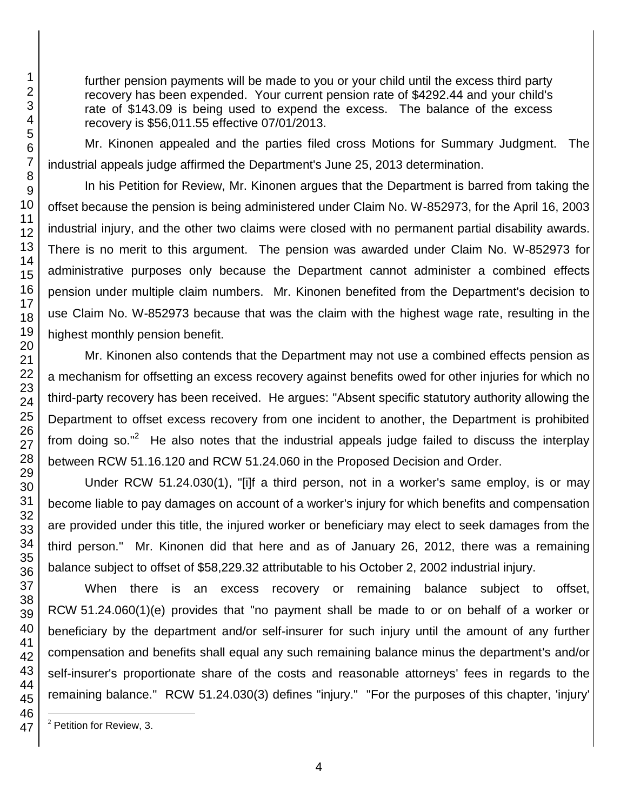further pension payments will be made to you or your child until the excess third party recovery has been expended. Your current pension rate of \$4292.44 and your child's rate of \$143.09 is being used to expend the excess. The balance of the excess recovery is \$56,011.55 effective 07/01/2013.

Mr. Kinonen appealed and the parties filed cross Motions for Summary Judgment. The industrial appeals judge affirmed the Department's June 25, 2013 determination.

In his Petition for Review, Mr. Kinonen argues that the Department is barred from taking the offset because the pension is being administered under Claim No. W-852973, for the April 16, 2003 industrial injury, and the other two claims were closed with no permanent partial disability awards. There is no merit to this argument. The pension was awarded under Claim No. W-852973 for administrative purposes only because the Department cannot administer a combined effects pension under multiple claim numbers. Mr. Kinonen benefited from the Department's decision to use Claim No. W-852973 because that was the claim with the highest wage rate, resulting in the highest monthly pension benefit.

Mr. Kinonen also contends that the Department may not use a combined effects pension as a mechanism for offsetting an excess recovery against benefits owed for other injuries for which no third-party recovery has been received. He argues: "Absent specific statutory authority allowing the Department to offset excess recovery from one incident to another, the Department is prohibited from doing so."<sup>2</sup> He also notes that the industrial appeals judge failed to discuss the interplay between RCW 51.16.120 and RCW 51.24.060 in the Proposed Decision and Order.

Under RCW 51.24.030(1), "[i]f a third person, not in a worker's same employ, is or may become liable to pay damages on account of a worker's injury for which benefits and compensation are provided under this title, the injured worker or beneficiary may elect to seek damages from the third person." Mr. Kinonen did that here and as of January 26, 2012, there was a remaining balance subject to offset of \$58,229.32 attributable to his October 2, 2002 industrial injury.

When there is an excess recovery or remaining balance subject to offset, RCW 51.24.060(1)(e) provides that "no payment shall be made to or on behalf of a worker or beneficiary by the department and/or self-insurer for such injury until the amount of any further compensation and benefits shall equal any such remaining balance minus the department's and/or self-insurer's proportionate share of the costs and reasonable attorneys' fees in regards to the remaining balance." RCW 51.24.030(3) defines "injury." "For the purposes of this chapter, 'injury'

l

Petition for Review, 3.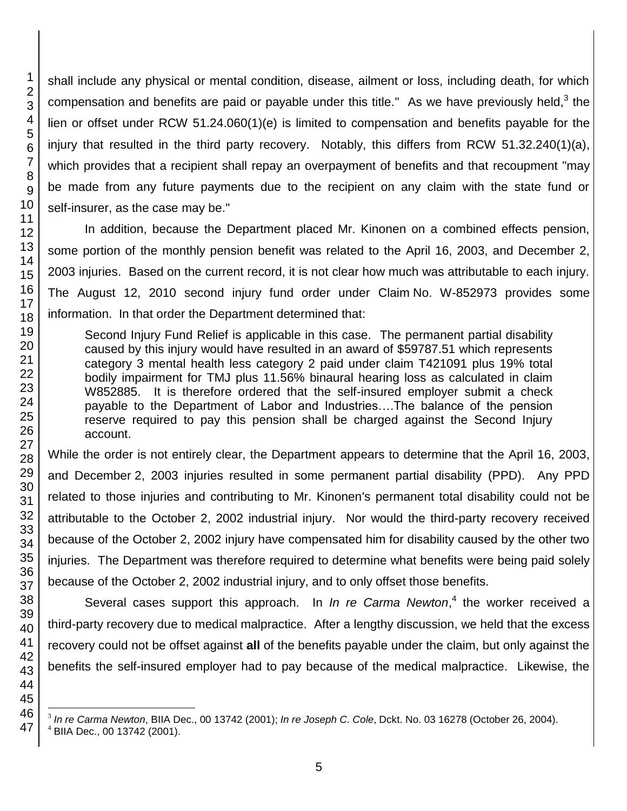shall include any physical or mental condition, disease, ailment or loss, including death, for which compensation and benefits are paid or payable under this title." As we have previously held,<sup>3</sup> the lien or offset under RCW 51.24.060(1)(e) is limited to compensation and benefits payable for the injury that resulted in the third party recovery. Notably, this differs from RCW 51.32.240(1)(a), which provides that a recipient shall repay an overpayment of benefits and that recoupment "may be made from any future payments due to the recipient on any claim with the state fund or self-insurer, as the case may be."

In addition, because the Department placed Mr. Kinonen on a combined effects pension, some portion of the monthly pension benefit was related to the April 16, 2003, and December 2, 2003 injuries. Based on the current record, it is not clear how much was attributable to each injury. The August 12, 2010 second injury fund order under Claim No. W-852973 provides some information. In that order the Department determined that:

Second Injury Fund Relief is applicable in this case. The permanent partial disability caused by this injury would have resulted in an award of \$59787.51 which represents category 3 mental health less category 2 paid under claim T421091 plus 19% total bodily impairment for TMJ plus 11.56% binaural hearing loss as calculated in claim W852885. It is therefore ordered that the self-insured employer submit a check payable to the Department of Labor and Industries….The balance of the pension reserve required to pay this pension shall be charged against the Second Injury account.

While the order is not entirely clear, the Department appears to determine that the April 16, 2003, and December 2, 2003 injuries resulted in some permanent partial disability (PPD). Any PPD related to those injuries and contributing to Mr. Kinonen's permanent total disability could not be attributable to the October 2, 2002 industrial injury. Nor would the third-party recovery received because of the October 2, 2002 injury have compensated him for disability caused by the other two injuries. The Department was therefore required to determine what benefits were being paid solely because of the October 2, 2002 industrial injury, and to only offset those benefits.

Several cases support this approach. In *In re Carma Newton*,<sup>4</sup> the worker received a third-party recovery due to medical malpractice. After a lengthy discussion, we held that the excess recovery could not be offset against **all** of the benefits payable under the claim, but only against the benefits the self-insured employer had to pay because of the medical malpractice. Likewise, the

 3 *In re Carma Newton*, BIIA Dec., 00 13742 (2001); *In re Joseph C. Cole*, Dckt. No. 03 16278 (October 26, 2004).

BIIA Dec., 00 13742 (2001).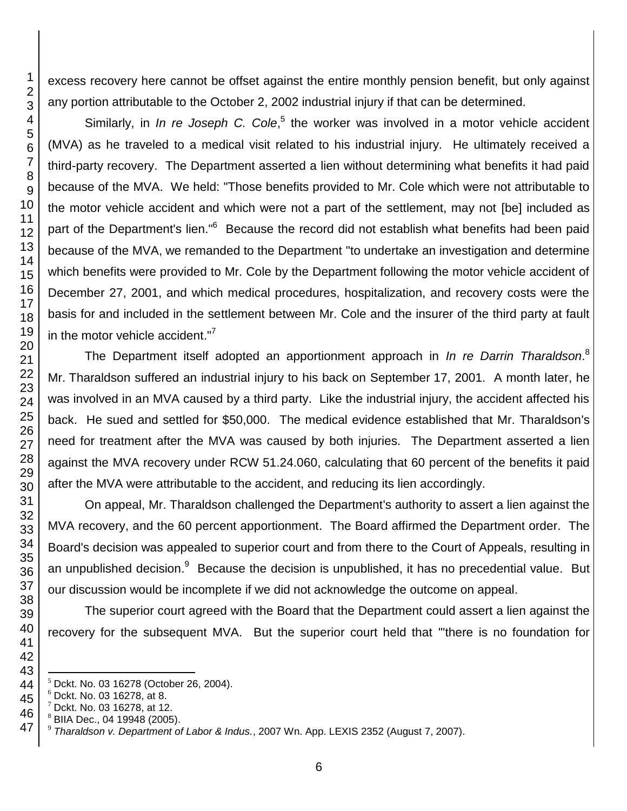excess recovery here cannot be offset against the entire monthly pension benefit, but only against any portion attributable to the October 2, 2002 industrial injury if that can be determined.

Similarly, in *In re Joseph C. Cole*,<sup>5</sup> the worker was involved in a motor vehicle accident (MVA) as he traveled to a medical visit related to his industrial injury. He ultimately received a third-party recovery. The Department asserted a lien without determining what benefits it had paid because of the MVA. We held: "Those benefits provided to Mr. Cole which were not attributable to the motor vehicle accident and which were not a part of the settlement, may not [be] included as part of the Department's lien."<sup>6</sup> Because the record did not establish what benefits had been paid because of the MVA, we remanded to the Department "to undertake an investigation and determine which benefits were provided to Mr. Cole by the Department following the motor vehicle accident of December 27, 2001, and which medical procedures, hospitalization, and recovery costs were the basis for and included in the settlement between Mr. Cole and the insurer of the third party at fault in the motor vehicle accident."<sup>7</sup>

The Department itself adopted an apportionment approach in *In re Darrin Tharaldson*. 8 Mr. Tharaldson suffered an industrial injury to his back on September 17, 2001. A month later, he was involved in an MVA caused by a third party. Like the industrial injury, the accident affected his back. He sued and settled for \$50,000. The medical evidence established that Mr. Tharaldson's need for treatment after the MVA was caused by both injuries. The Department asserted a lien against the MVA recovery under RCW 51.24.060, calculating that 60 percent of the benefits it paid after the MVA were attributable to the accident, and reducing its lien accordingly.

On appeal, Mr. Tharaldson challenged the Department's authority to assert a lien against the MVA recovery, and the 60 percent apportionment. The Board affirmed the Department order. The Board's decision was appealed to superior court and from there to the Court of Appeals, resulting in an unpublished decision.<sup>9</sup> Because the decision is unpublished, it has no precedential value. But our discussion would be incomplete if we did not acknowledge the outcome on appeal.

The superior court agreed with the Board that the Department could assert a lien against the recovery for the subsequent MVA. But the superior court held that "'there is no foundation for

 $\overline{a}$ Dckt. No. 03 16278 (October 26, 2004).

 $^6$  Dckt. No. 03 16278, at 8.

Dckt. No. 03 16278, at 12.

BIIA Dec., 04 19948 (2005).

*Tharaldson v. Department of Labor & Indus.*, 2007 Wn. App. LEXIS 2352 (August 7, 2007).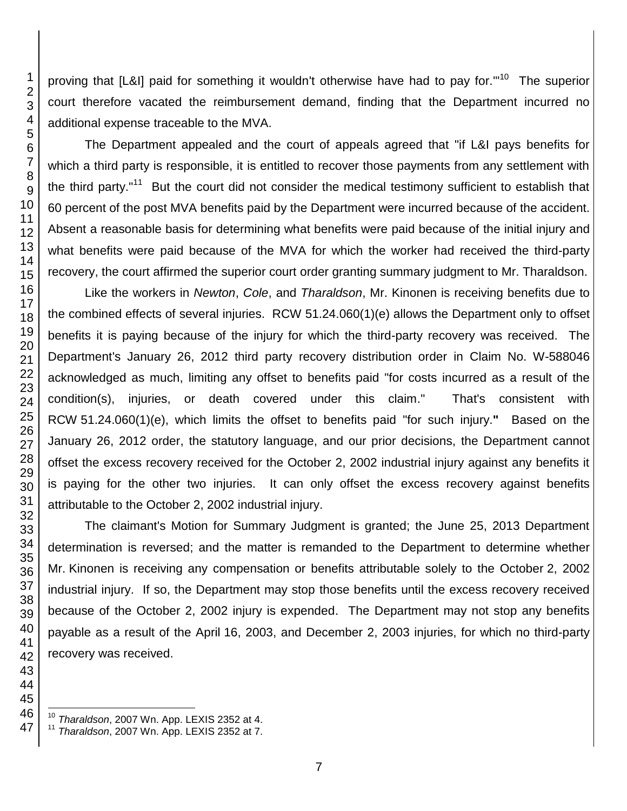proving that [L&I] paid for something it wouldn't otherwise have had to pay for."<sup>10</sup> The superior court therefore vacated the reimbursement demand, finding that the Department incurred no additional expense traceable to the MVA. The Department appealed and the court of appeals agreed that "if L&I pays benefits for which a third party is responsible, it is entitled to recover those payments from any settlement with the third party."<sup>11</sup> But the court did not consider the medical testimony sufficient to establish that percent of the post MVA benefits paid by the Department were incurred because of the accident. Absent a reasonable basis for determining what benefits were paid because of the initial injury and what benefits were paid because of the MVA for which the worker had received the third-party recovery, the court affirmed the superior court order granting summary judgment to Mr. Tharaldson. Like the workers in *Newton*, *Cole*, and *Tharaldson*, Mr. Kinonen is receiving benefits due to the combined effects of several injuries. RCW 51.24.060(1)(e) allows the Department only to offset benefits it is paying because of the injury for which the third-party recovery was received. The Department's January 26, 2012 third party recovery distribution order in Claim No. W-588046 acknowledged as much, limiting any offset to benefits paid "for costs incurred as a result of the condition(s), injuries, or death covered under this claim." That's consistent with RCW 51.24.060(1)(e), which limits the offset to benefits paid "for such injury.**"** Based on the January 26, 2012 order, the statutory language, and our prior decisions, the Department cannot offset the excess recovery received for the October 2, 2002 industrial injury against any benefits it is paying for the other two injuries. It can only offset the excess recovery against benefits

The claimant's Motion for Summary Judgment is granted; the June 25, 2013 Department determination is reversed; and the matter is remanded to the Department to determine whether Mr. Kinonen is receiving any compensation or benefits attributable solely to the October 2, 2002 industrial injury. If so, the Department may stop those benefits until the excess recovery received because of the October 2, 2002 injury is expended. The Department may not stop any benefits payable as a result of the April 16, 2003, and December 2, 2003 injuries, for which no third-party recovery was received.

l *Tharaldson*, 2007 Wn. App. LEXIS 2352 at 4.

attributable to the October 2, 2002 industrial injury.

*Tharaldson*, 2007 Wn. App. LEXIS 2352 at 7.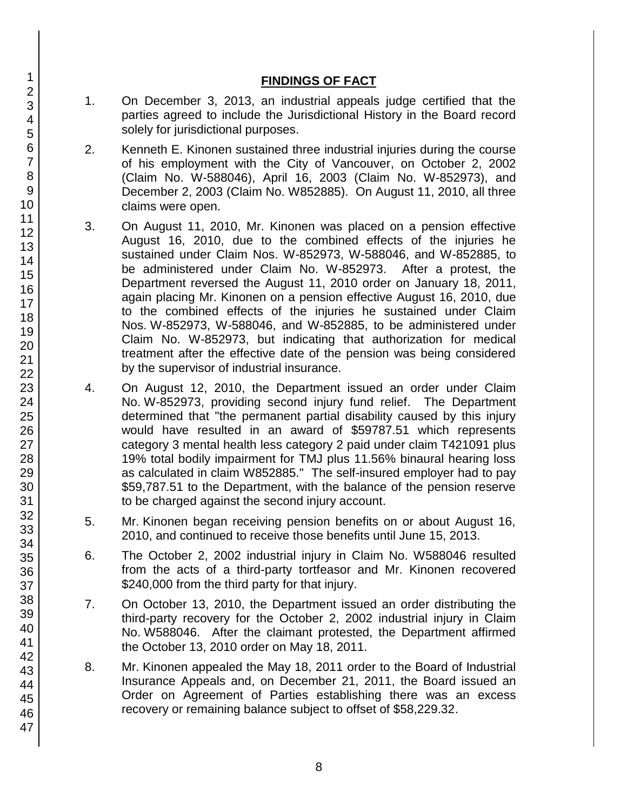## **FINDINGS OF FACT**

- 1. On December 3, 2013, an industrial appeals judge certified that the parties agreed to include the Jurisdictional History in the Board record solely for jurisdictional purposes.
- 2. Kenneth E. Kinonen sustained three industrial injuries during the course of his employment with the City of Vancouver, on October 2, 2002 (Claim No. W-588046), April 16, 2003 (Claim No. W-852973), and December 2, 2003 (Claim No. W852885). On August 11, 2010, all three claims were open.
- 3. On August 11, 2010, Mr. Kinonen was placed on a pension effective August 16, 2010, due to the combined effects of the injuries he sustained under Claim Nos. W-852973, W-588046, and W-852885, to be administered under Claim No. W-852973. After a protest, the Department reversed the August 11, 2010 order on January 18, 2011, again placing Mr. Kinonen on a pension effective August 16, 2010, due to the combined effects of the injuries he sustained under Claim Nos. W-852973, W-588046, and W-852885, to be administered under Claim No. W-852973, but indicating that authorization for medical treatment after the effective date of the pension was being considered by the supervisor of industrial insurance.
- 4. On August 12, 2010, the Department issued an order under Claim No. W-852973, providing second injury fund relief. The Department determined that "the permanent partial disability caused by this injury would have resulted in an award of \$59787.51 which represents category 3 mental health less category 2 paid under claim T421091 plus 19% total bodily impairment for TMJ plus 11.56% binaural hearing loss as calculated in claim W852885." The self-insured employer had to pay \$59,787.51 to the Department, with the balance of the pension reserve to be charged against the second injury account.
- 5. Mr. Kinonen began receiving pension benefits on or about August 16, 2010, and continued to receive those benefits until June 15, 2013.
- 6. The October 2, 2002 industrial injury in Claim No. W588046 resulted from the acts of a third-party tortfeasor and Mr. Kinonen recovered \$240,000 from the third party for that injury.
- 7. On October 13, 2010, the Department issued an order distributing the third-party recovery for the October 2, 2002 industrial injury in Claim No. W588046. After the claimant protested, the Department affirmed the October 13, 2010 order on May 18, 2011.
- 8. Mr. Kinonen appealed the May 18, 2011 order to the Board of Industrial Insurance Appeals and, on December 21, 2011, the Board issued an Order on Agreement of Parties establishing there was an excess recovery or remaining balance subject to offset of \$58,229.32.
- 1 2 3 4 5 6 7 8 9 10 11 12 13 14 15 16 17 18 19 20 21 22 23 24 25 26 27 28 29 30 31 32 33 34 35 36 37 38 39 40 41 42 43 44 45 46 47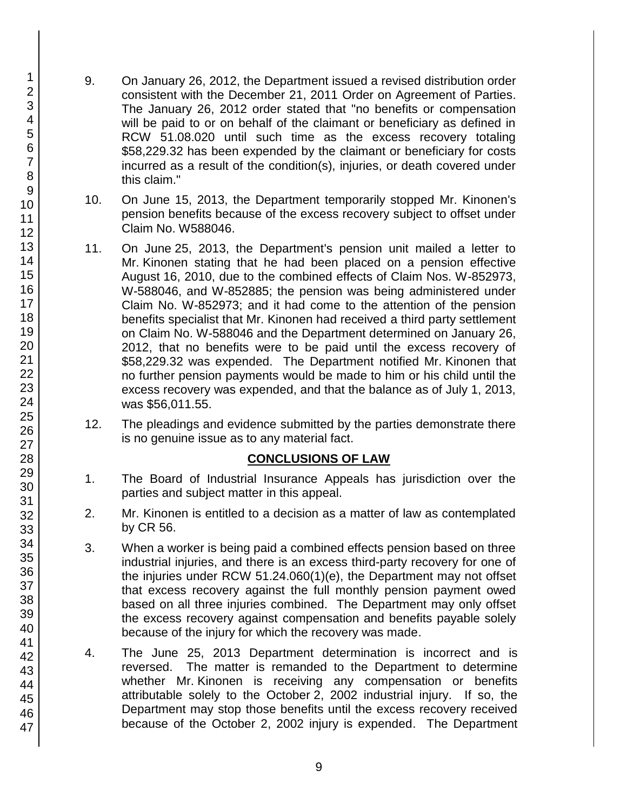- 9. On January 26, 2012, the Department issued a revised distribution order consistent with the December 21, 2011 Order on Agreement of Parties. The January 26, 2012 order stated that "no benefits or compensation will be paid to or on behalf of the claimant or beneficiary as defined in RCW 51.08.020 until such time as the excess recovery totaling \$58,229.32 has been expended by the claimant or beneficiary for costs incurred as a result of the condition(s), injuries, or death covered under this claim."
- 10. On June 15, 2013, the Department temporarily stopped Mr. Kinonen's pension benefits because of the excess recovery subject to offset under Claim No. W588046.
- 11. On June 25, 2013, the Department's pension unit mailed a letter to Mr. Kinonen stating that he had been placed on a pension effective August 16, 2010, due to the combined effects of Claim Nos. W-852973, W-588046, and W-852885; the pension was being administered under Claim No. W-852973; and it had come to the attention of the pension benefits specialist that Mr. Kinonen had received a third party settlement on Claim No. W-588046 and the Department determined on January 26, 2012, that no benefits were to be paid until the excess recovery of \$58,229.32 was expended. The Department notified Mr. Kinonen that no further pension payments would be made to him or his child until the excess recovery was expended, and that the balance as of July 1, 2013, was \$56,011.55.
- 12. The pleadings and evidence submitted by the parties demonstrate there is no genuine issue as to any material fact.

## **CONCLUSIONS OF LAW**

- 1. The Board of Industrial Insurance Appeals has jurisdiction over the parties and subject matter in this appeal.
- 2. Mr. Kinonen is entitled to a decision as a matter of law as contemplated by CR 56.
- 3. When a worker is being paid a combined effects pension based on three industrial injuries, and there is an excess third-party recovery for one of the injuries under RCW 51.24.060(1)(e), the Department may not offset that excess recovery against the full monthly pension payment owed based on all three injuries combined. The Department may only offset the excess recovery against compensation and benefits payable solely because of the injury for which the recovery was made.
- 4. The June 25, 2013 Department determination is incorrect and is reversed. The matter is remanded to the Department to determine whether Mr. Kinonen is receiving any compensation or benefits attributable solely to the October 2, 2002 industrial injury. If so, the Department may stop those benefits until the excess recovery received because of the October 2, 2002 injury is expended. The Department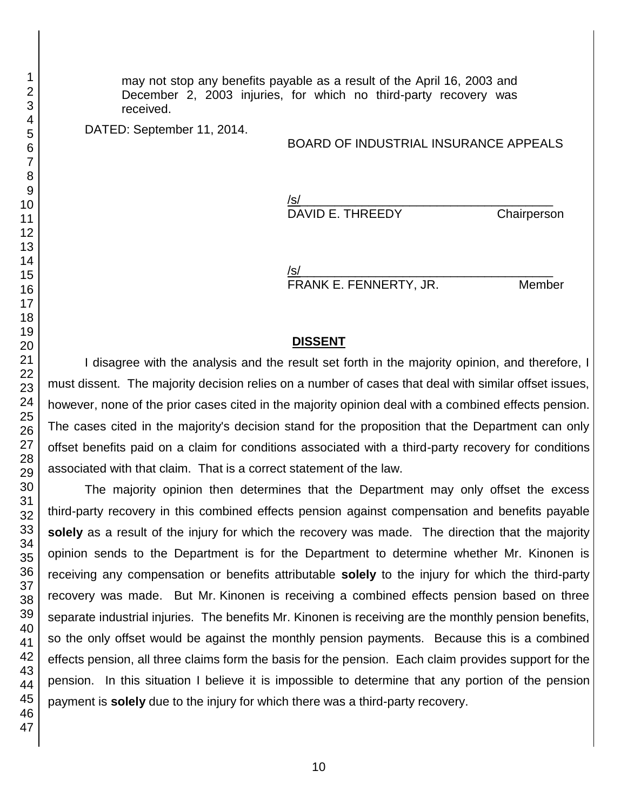may not stop any benefits payable as a result of the April 16, 2003 and December 2, 2003 injuries, for which no third-party recovery was received.

DATED: September 11, 2014.

#### BOARD OF INDUSTRIAL INSURANCE APPEALS

/s/ DAVID E. THREEDY Chairperson

/s/\_\_\_\_\_\_\_\_\_\_\_\_\_\_\_\_\_\_\_\_\_\_\_\_\_\_\_\_\_\_\_\_\_\_\_\_\_ FRANK E. FENNERTY, JR. Member

#### **DISSENT**

I disagree with the analysis and the result set forth in the majority opinion, and therefore, I must dissent. The majority decision relies on a number of cases that deal with similar offset issues, however, none of the prior cases cited in the majority opinion deal with a combined effects pension. The cases cited in the majority's decision stand for the proposition that the Department can only offset benefits paid on a claim for conditions associated with a third-party recovery for conditions associated with that claim. That is a correct statement of the law.

The majority opinion then determines that the Department may only offset the excess third-party recovery in this combined effects pension against compensation and benefits payable **solely** as a result of the injury for which the recovery was made. The direction that the majority opinion sends to the Department is for the Department to determine whether Mr. Kinonen is receiving any compensation or benefits attributable **solely** to the injury for which the third-party recovery was made. But Mr. Kinonen is receiving a combined effects pension based on three separate industrial injuries. The benefits Mr. Kinonen is receiving are the monthly pension benefits, so the only offset would be against the monthly pension payments. Because this is a combined effects pension, all three claims form the basis for the pension. Each claim provides support for the pension. In this situation I believe it is impossible to determine that any portion of the pension payment is **solely** due to the injury for which there was a third-party recovery.